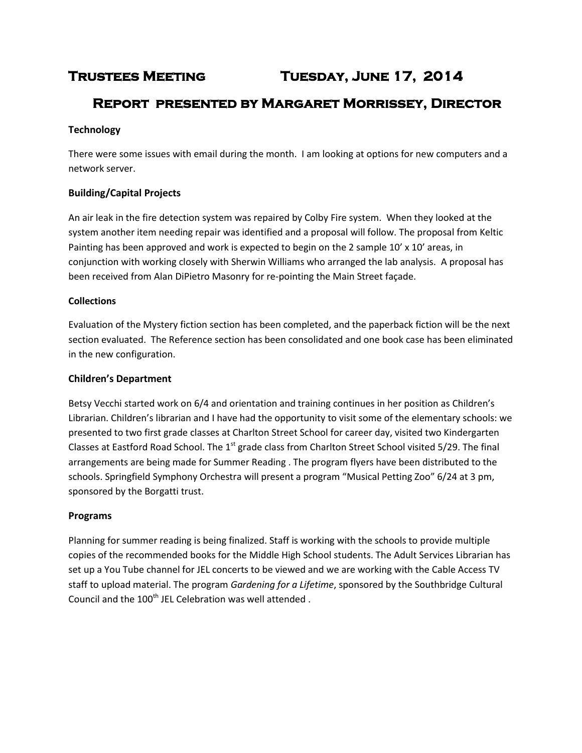# **Trustees Meeting Tuesday, June 17, 2014**

# **Report presented by Margaret Morrissey, Director**

# **Technology**

There were some issues with email during the month. I am looking at options for new computers and a network server.

# **Building/Capital Projects**

An air leak in the fire detection system was repaired by Colby Fire system. When they looked at the system another item needing repair was identified and a proposal will follow. The proposal from Keltic Painting has been approved and work is expected to begin on the 2 sample 10' x 10' areas, in conjunction with working closely with Sherwin Williams who arranged the lab analysis. A proposal has been received from Alan DiPietro Masonry for re-pointing the Main Street façade.

# **Collections**

Evaluation of the Mystery fiction section has been completed, and the paperback fiction will be the next section evaluated. The Reference section has been consolidated and one book case has been eliminated in the new configuration.

# **Children's Department**

Betsy Vecchi started work on 6/4 and orientation and training continues in her position as Children's Librarian. Children's librarian and I have had the opportunity to visit some of the elementary schools: we presented to two first grade classes at Charlton Street School for career day, visited two Kindergarten Classes at Eastford Road School. The 1<sup>st</sup> grade class from Charlton Street School visited 5/29. The final arrangements are being made for Summer Reading . The program flyers have been distributed to the schools. Springfield Symphony Orchestra will present a program "Musical Petting Zoo" 6/24 at 3 pm, sponsored by the Borgatti trust.

# **Programs**

Planning for summer reading is being finalized. Staff is working with the schools to provide multiple copies of the recommended books for the Middle High School students. The Adult Services Librarian has set up a You Tube channel for JEL concerts to be viewed and we are working with the Cable Access TV staff to upload material. The program *Gardening for a Lifetime*, sponsored by the Southbridge Cultural Council and the 100<sup>th</sup> JEL Celebration was well attended.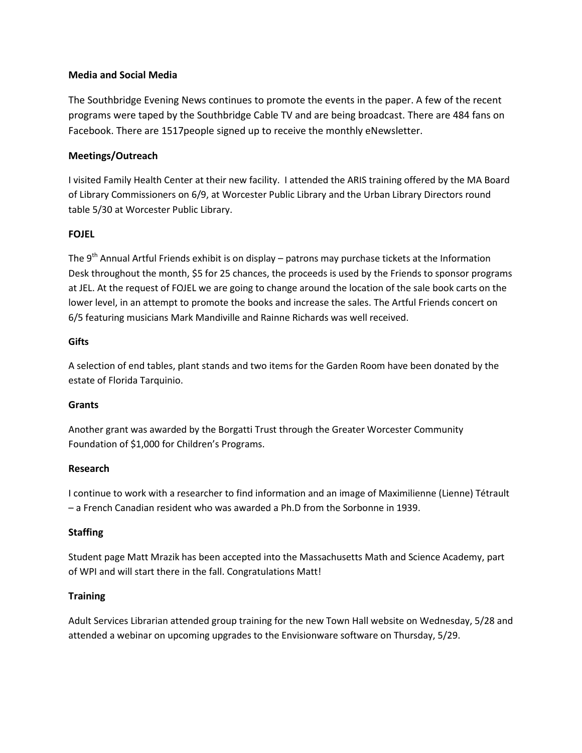#### **Media and Social Media**

The Southbridge Evening News continues to promote the events in the paper. A few of the recent programs were taped by the Southbridge Cable TV and are being broadcast. There are 484 fans on Facebook. There are 1517people signed up to receive the monthly eNewsletter.

# **Meetings/Outreach**

I visited Family Health Center at their new facility. I attended the ARIS training offered by the MA Board of Library Commissioners on 6/9, at Worcester Public Library and the Urban Library Directors round table 5/30 at Worcester Public Library.

# **FOJEL**

The 9<sup>th</sup> Annual Artful Friends exhibit is on display – patrons may purchase tickets at the Information Desk throughout the month, \$5 for 25 chances, the proceeds is used by the Friends to sponsor programs at JEL. At the request of FOJEL we are going to change around the location of the sale book carts on the lower level, in an attempt to promote the books and increase the sales. The Artful Friends concert on 6/5 featuring musicians Mark Mandiville and Rainne Richards was well received.

#### **Gifts**

A selection of end tables, plant stands and two items for the Garden Room have been donated by the estate of Florida Tarquinio.

#### **Grants**

Another grant was awarded by the Borgatti Trust through the Greater Worcester Community Foundation of \$1,000 for Children's Programs.

#### **Research**

I continue to work with a researcher to find information and an image of Maximilienne (Lienne) Tétrault – a French Canadian resident who was awarded a Ph.D from the Sorbonne in 1939.

#### **Staffing**

Student page Matt Mrazik has been accepted into the Massachusetts Math and Science Academy, part of WPI and will start there in the fall. Congratulations Matt!

#### **Training**

Adult Services Librarian attended group training for the new Town Hall website on Wednesday, 5/28 and attended a webinar on upcoming upgrades to the Envisionware software on Thursday, 5/29.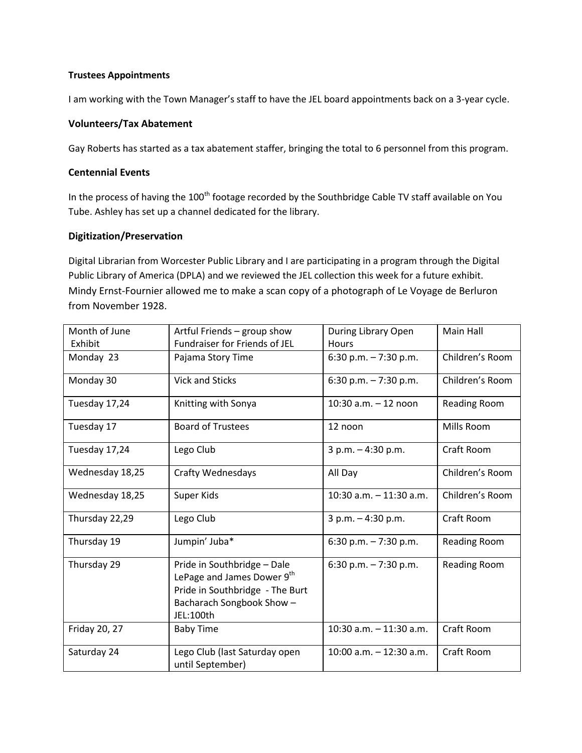#### **Trustees Appointments**

I am working with the Town Manager's staff to have the JEL board appointments back on a 3-year cycle.

# **Volunteers/Tax Abatement**

Gay Roberts has started as a tax abatement staffer, bringing the total to 6 personnel from this program.

# **Centennial Events**

In the process of having the 100<sup>th</sup> footage recorded by the Southbridge Cable TV staff available on You Tube. Ashley has set up a channel dedicated for the library.

# **Digitization/Preservation**

Digital Librarian from Worcester Public Library and I are participating in a program through the Digital Public Library of America (DPLA) and we reviewed the JEL collection this week for a future exhibit. Mindy Ernst-Fournier allowed me to make a scan copy of a photograph of Le Voyage de Berluron from November 1928.

| Month of June   | Artful Friends - group show                                                                                                                       | During Library Open        | Main Hall       |
|-----------------|---------------------------------------------------------------------------------------------------------------------------------------------------|----------------------------|-----------------|
| Exhibit         | Fundraiser for Friends of JEL                                                                                                                     | Hours                      |                 |
| Monday 23       | Pajama Story Time                                                                                                                                 | 6:30 p.m. $-7:30$ p.m.     | Children's Room |
| Monday 30       | <b>Vick and Sticks</b>                                                                                                                            | 6:30 p.m. $-7:30$ p.m.     | Children's Room |
| Tuesday 17,24   | Knitting with Sonya                                                                                                                               | 10:30 $a.m. - 12$ noon     | Reading Room    |
| Tuesday 17      | <b>Board of Trustees</b>                                                                                                                          | 12 noon                    | Mills Room      |
| Tuesday 17,24   | Lego Club                                                                                                                                         | $3 p.m. - 4:30 p.m.$       | Craft Room      |
| Wednesday 18,25 | <b>Crafty Wednesdays</b>                                                                                                                          | All Day                    | Children's Room |
| Wednesday 18,25 | Super Kids                                                                                                                                        | $10:30$ a.m. $-11:30$ a.m. | Children's Room |
| Thursday 22,29  | Lego Club                                                                                                                                         | $3 p.m. - 4:30 p.m.$       | Craft Room      |
| Thursday 19     | Jumpin' Juba*                                                                                                                                     | 6:30 p.m. $-7:30$ p.m.     | Reading Room    |
| Thursday 29     | Pride in Southbridge - Dale<br>LePage and James Dower 9 <sup>th</sup><br>Pride in Southbridge - The Burt<br>Bacharach Songbook Show-<br>JEL:100th | 6:30 p.m. - 7:30 p.m.      | Reading Room    |
| Friday 20, 27   | <b>Baby Time</b>                                                                                                                                  | $10:30$ a.m. $-11:30$ a.m. | Craft Room      |
| Saturday 24     | Lego Club (last Saturday open<br>until September)                                                                                                 | $10:00$ a.m. $-12:30$ a.m. | Craft Room      |